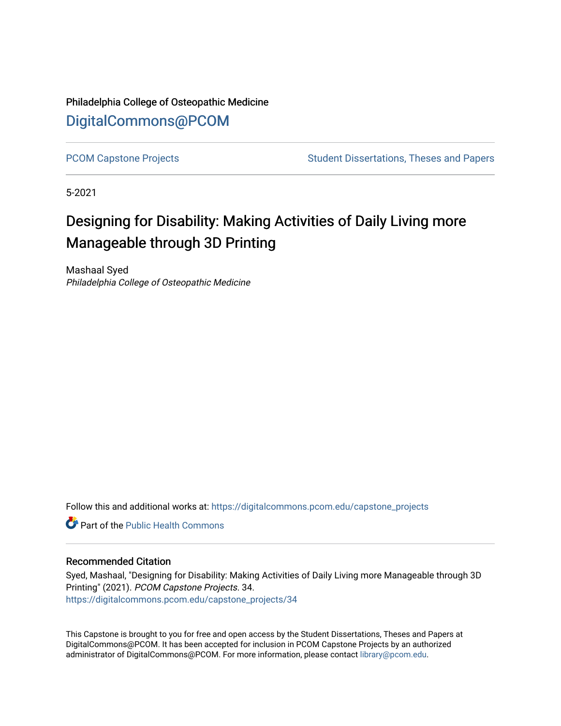Philadelphia College of Osteopathic Medicine [DigitalCommons@PCOM](https://digitalcommons.pcom.edu/) 

[PCOM Capstone Projects](https://digitalcommons.pcom.edu/capstone_projects) **Student Dissertations**, Theses and Papers

5-2021

# Designing for Disability: Making Activities of Daily Living more Manageable through 3D Printing

Mashaal Syed Philadelphia College of Osteopathic Medicine

Follow this and additional works at: [https://digitalcommons.pcom.edu/capstone\\_projects](https://digitalcommons.pcom.edu/capstone_projects?utm_source=digitalcommons.pcom.edu%2Fcapstone_projects%2F34&utm_medium=PDF&utm_campaign=PDFCoverPages)

**C** Part of the Public Health Commons

### Recommended Citation

Syed, Mashaal, "Designing for Disability: Making Activities of Daily Living more Manageable through 3D Printing" (2021). PCOM Capstone Projects. 34. [https://digitalcommons.pcom.edu/capstone\\_projects/34](https://digitalcommons.pcom.edu/capstone_projects/34?utm_source=digitalcommons.pcom.edu%2Fcapstone_projects%2F34&utm_medium=PDF&utm_campaign=PDFCoverPages) 

This Capstone is brought to you for free and open access by the Student Dissertations, Theses and Papers at DigitalCommons@PCOM. It has been accepted for inclusion in PCOM Capstone Projects by an authorized administrator of DigitalCommons@PCOM. For more information, please contact [library@pcom.edu.](mailto:library@pcom.edu)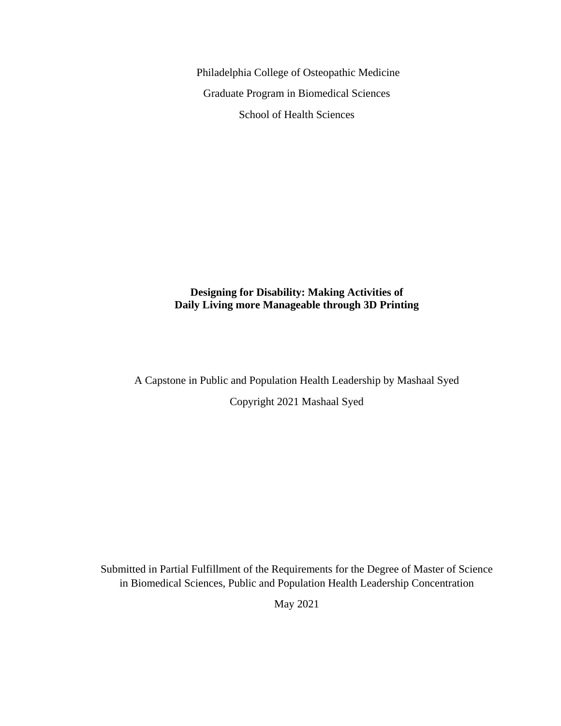Philadelphia College of Osteopathic Medicine Graduate Program in Biomedical Sciences School of Health Sciences

## **Designing for Disability: Making Activities of Daily Living more Manageable through 3D Printing**

A Capstone in Public and Population Health Leadership by Mashaal Syed Copyright 2021 Mashaal Syed

Submitted in Partial Fulfillment of the Requirements for the Degree of Master of Science in Biomedical Sciences, Public and Population Health Leadership Concentration

May 2021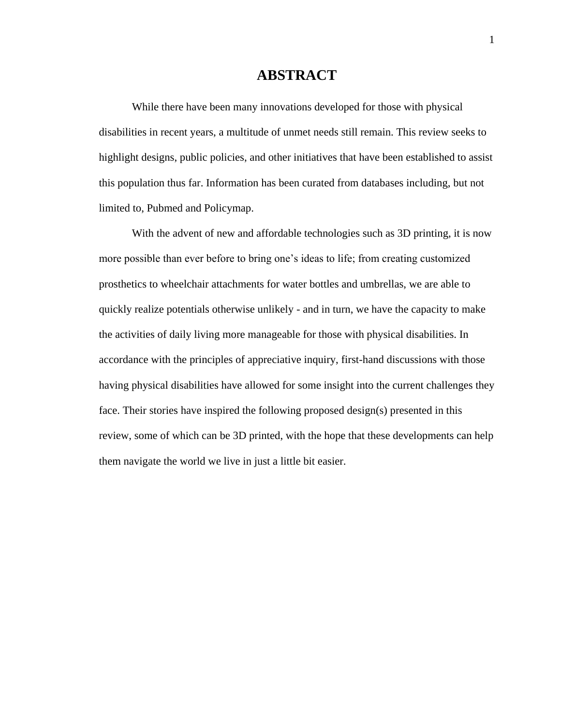# **ABSTRACT**

While there have been many innovations developed for those with physical disabilities in recent years, a multitude of unmet needs still remain. This review seeks to highlight designs, public policies, and other initiatives that have been established to assist this population thus far. Information has been curated from databases including, but not limited to, Pubmed and Policymap.

With the advent of new and affordable technologies such as 3D printing, it is now more possible than ever before to bring one's ideas to life; from creating customized prosthetics to wheelchair attachments for water bottles and umbrellas, we are able to quickly realize potentials otherwise unlikely - and in turn, we have the capacity to make the activities of daily living more manageable for those with physical disabilities. In accordance with the principles of appreciative inquiry, first-hand discussions with those having physical disabilities have allowed for some insight into the current challenges they face. Their stories have inspired the following proposed design(s) presented in this review, some of which can be 3D printed, with the hope that these developments can help them navigate the world we live in just a little bit easier.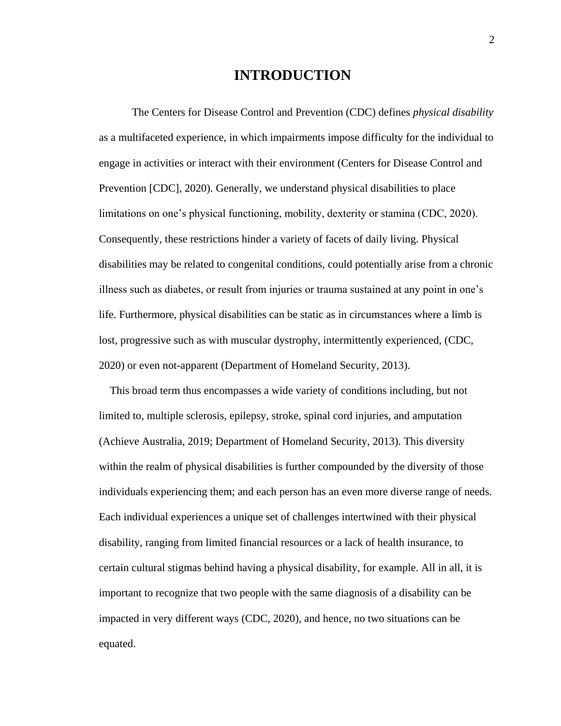## **INTRODUCTION**

The Centers for Disease Control and Prevention (CDC) defines *physical disability* as a multifaceted experience, in which impairments impose difficulty for the individual to engage in activities or interact with their environment (Centers for Disease Control and Prevention [CDC], 2020). Generally, we understand physical disabilities to place limitations on one's physical functioning, mobility, dexterity or stamina (CDC, 2020). Consequently, these restrictions hinder a variety of facets of daily living. Physical disabilities may be related to congenital conditions, could potentially arise from a chronic illness such as diabetes, or result from injuries or trauma sustained at any point in one's life. Furthermore, physical disabilities can be static as in circumstances where a limb is lost, progressive such as with muscular dystrophy, intermittently experienced, (CDC, 2020) or even not-apparent (Department of Homeland Security, 2013).

 This broad term thus encompasses a wide variety of conditions including, but not limited to, multiple sclerosis, epilepsy, stroke, spinal cord injuries, and amputation (Achieve Australia, 2019; Department of Homeland Security, 2013). This diversity within the realm of physical disabilities is further compounded by the diversity of those individuals experiencing them; and each person has an even more diverse range of needs. Each individual experiences a unique set of challenges intertwined with their physical disability, ranging from limited financial resources or a lack of health insurance, to certain cultural stigmas behind having a physical disability, for example. All in all, it is important to recognize that two people with the same diagnosis of a disability can be impacted in very different ways (CDC, 2020), and hence, no two situations can be equated.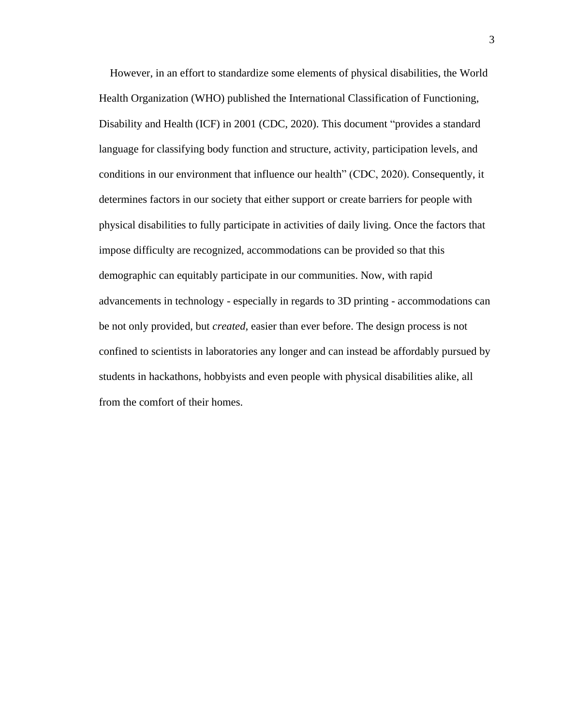However, in an effort to standardize some elements of physical disabilities, the World Health Organization (WHO) published the International Classification of Functioning, Disability and Health (ICF) in 2001 (CDC, 2020). This document "provides a standard language for classifying body function and structure, activity, participation levels, and conditions in our environment that influence our health" (CDC, 2020). Consequently, it determines factors in our society that either support or create barriers for people with physical disabilities to fully participate in activities of daily living. Once the factors that impose difficulty are recognized, accommodations can be provided so that this demographic can equitably participate in our communities. Now, with rapid advancements in technology - especially in regards to 3D printing - accommodations can be not only provided, but *created,* easier than ever before. The design process is not confined to scientists in laboratories any longer and can instead be affordably pursued by students in hackathons, hobbyists and even people with physical disabilities alike, all from the comfort of their homes.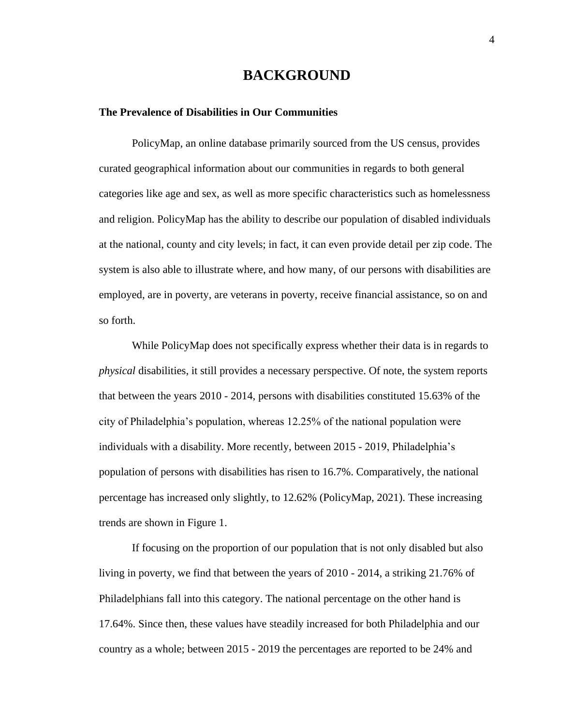# **BACKGROUND**

#### **The Prevalence of Disabilities in Our Communities**

PolicyMap, an online database primarily sourced from the US census, provides curated geographical information about our communities in regards to both general categories like age and sex, as well as more specific characteristics such as homelessness and religion. PolicyMap has the ability to describe our population of disabled individuals at the national, county and city levels; in fact, it can even provide detail per zip code. The system is also able to illustrate where, and how many, of our persons with disabilities are employed, are in poverty, are veterans in poverty, receive financial assistance, so on and so forth.

While PolicyMap does not specifically express whether their data is in regards to *physical* disabilities, it still provides a necessary perspective. Of note, the system reports that between the years 2010 - 2014, persons with disabilities constituted 15.63% of the city of Philadelphia's population, whereas 12.25% of the national population were individuals with a disability. More recently, between 2015 - 2019, Philadelphia's population of persons with disabilities has risen to 16.7%. Comparatively, the national percentage has increased only slightly, to 12.62% (PolicyMap, 2021). These increasing trends are shown in Figure 1.

If focusing on the proportion of our population that is not only disabled but also living in poverty, we find that between the years of 2010 - 2014, a striking 21.76% of Philadelphians fall into this category. The national percentage on the other hand is 17.64%. Since then, these values have steadily increased for both Philadelphia and our country as a whole; between 2015 - 2019 the percentages are reported to be 24% and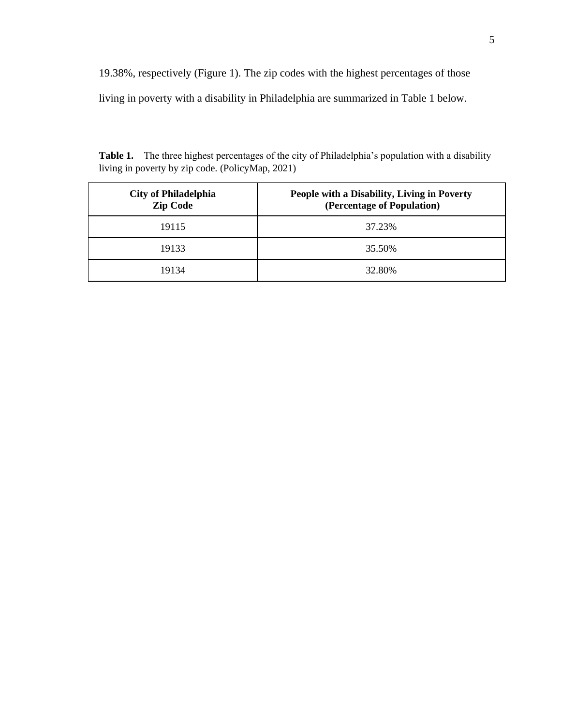19.38%, respectively (Figure 1). The zip codes with the highest percentages of those living in poverty with a disability in Philadelphia are summarized in Table 1 below.

**Table 1.** The three highest percentages of the city of Philadelphia's population with a disability living in poverty by zip code. (PolicyMap, 2021)

| <b>City of Philadelphia</b><br><b>Zip Code</b> | People with a Disability, Living in Poverty<br>(Percentage of Population) |
|------------------------------------------------|---------------------------------------------------------------------------|
| 19115                                          | 37.23%                                                                    |
| 19133                                          | 35.50%                                                                    |
| 19134                                          | 32.80%                                                                    |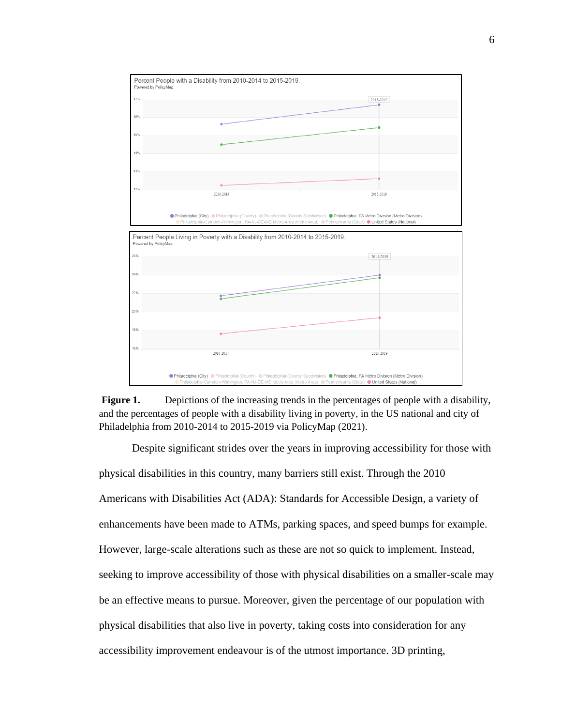



Despite significant strides over the years in improving accessibility for those with physical disabilities in this country, many barriers still exist. Through the 2010 Americans with Disabilities Act (ADA): Standards for Accessible Design, a variety of enhancements have been made to ATMs, parking spaces, and speed bumps for example. However, large-scale alterations such as these are not so quick to implement. Instead, seeking to improve accessibility of those with physical disabilities on a smaller-scale may be an effective means to pursue. Moreover, given the percentage of our population with physical disabilities that also live in poverty, taking costs into consideration for any accessibility improvement endeavour is of the utmost importance. 3D printing,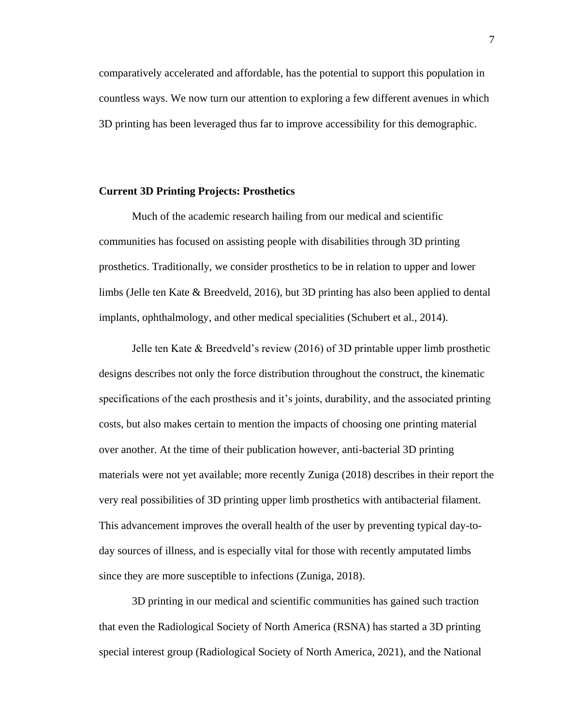comparatively accelerated and affordable, has the potential to support this population in countless ways. We now turn our attention to exploring a few different avenues in which 3D printing has been leveraged thus far to improve accessibility for this demographic.

### **Current 3D Printing Projects: Prosthetics**

Much of the academic research hailing from our medical and scientific communities has focused on assisting people with disabilities through 3D printing prosthetics. Traditionally, we consider prosthetics to be in relation to upper and lower limbs (Jelle ten Kate & Breedveld, 2016), but 3D printing has also been applied to dental implants, ophthalmology, and other medical specialities (Schubert et al., 2014).

Jelle ten Kate & Breedveld's review (2016) of 3D printable upper limb prosthetic designs describes not only the force distribution throughout the construct, the kinematic specifications of the each prosthesis and it's joints, durability, and the associated printing costs, but also makes certain to mention the impacts of choosing one printing material over another. At the time of their publication however, anti-bacterial 3D printing materials were not yet available; more recently Zuniga (2018) describes in their report the very real possibilities of 3D printing upper limb prosthetics with antibacterial filament. This advancement improves the overall health of the user by preventing typical day-today sources of illness, and is especially vital for those with recently amputated limbs since they are more susceptible to infections (Zuniga, 2018).

3D printing in our medical and scientific communities has gained such traction that even the Radiological Society of North America (RSNA) has started a 3D printing special interest group (Radiological Society of North America, 2021), and the National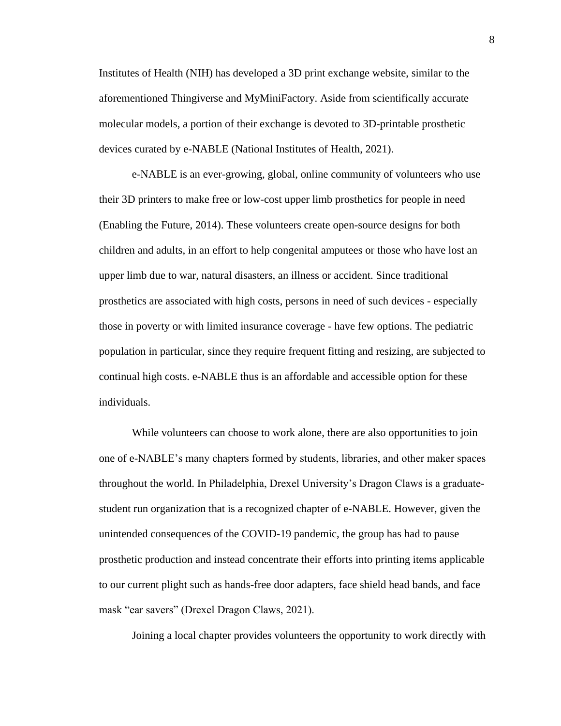Institutes of Health (NIH) has developed a 3D print exchange website, similar to the aforementioned Thingiverse and MyMiniFactory. Aside from scientifically accurate molecular models, a portion of their exchange is devoted to 3D-printable prosthetic devices curated by e-NABLE (National Institutes of Health, 2021).

e-NABLE is an ever-growing, global, online community of volunteers who use their 3D printers to make free or low-cost upper limb prosthetics for people in need (Enabling the Future, 2014). These volunteers create open-source designs for both children and adults, in an effort to help congenital amputees or those who have lost an upper limb due to war, natural disasters, an illness or accident. Since traditional prosthetics are associated with high costs, persons in need of such devices - especially those in poverty or with limited insurance coverage - have few options. The pediatric population in particular, since they require frequent fitting and resizing, are subjected to continual high costs. e-NABLE thus is an affordable and accessible option for these individuals.

While volunteers can choose to work alone, there are also opportunities to join one of e-NABLE's many chapters formed by students, libraries, and other maker spaces throughout the world. In Philadelphia, Drexel University's Dragon Claws is a graduatestudent run organization that is a recognized chapter of e-NABLE. However, given the unintended consequences of the COVID-19 pandemic, the group has had to pause prosthetic production and instead concentrate their efforts into printing items applicable to our current plight such as hands-free door adapters, face shield head bands, and face mask "ear savers" (Drexel Dragon Claws, 2021).

Joining a local chapter provides volunteers the opportunity to work directly with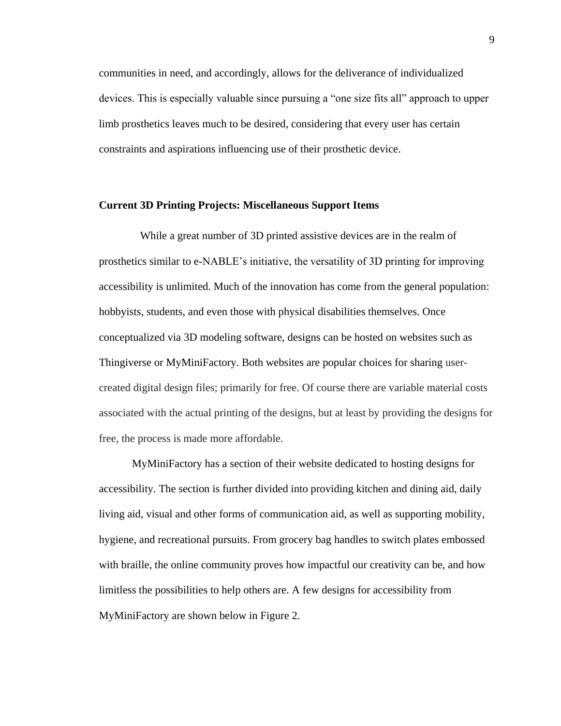communities in need, and accordingly, allows for the deliverance of individualized devices. This is especially valuable since pursuing a "one size fits all" approach to upper limb prosthetics leaves much to be desired, considering that every user has certain constraints and aspirations influencing use of their prosthetic device.

#### **Current 3D Printing Projects: Miscellaneous Support Items**

 While a great number of 3D printed assistive devices are in the realm of prosthetics similar to e-NABLE's initiative, the versatility of 3D printing for improving accessibility is unlimited. Much of the innovation has come from the general population: hobbyists, students, and even those with physical disabilities themselves. Once conceptualized via 3D modeling software, designs can be hosted on websites such as Thingiverse or MyMiniFactory. Both websites are popular choices for sharing usercreated digital design files; primarily for free. Of course there are variable material costs associated with the actual printing of the designs, but at least by providing the designs for free, the process is made more affordable.

MyMiniFactory has a section of their website dedicated to hosting designs for accessibility. The section is further divided into providing kitchen and dining aid, daily living aid, visual and other forms of communication aid, as well as supporting mobility, hygiene, and recreational pursuits. From grocery bag handles to switch plates embossed with braille, the online community proves how impactful our creativity can be, and how limitless the possibilities to help others are. A few designs for accessibility from MyMiniFactory are shown below in Figure 2.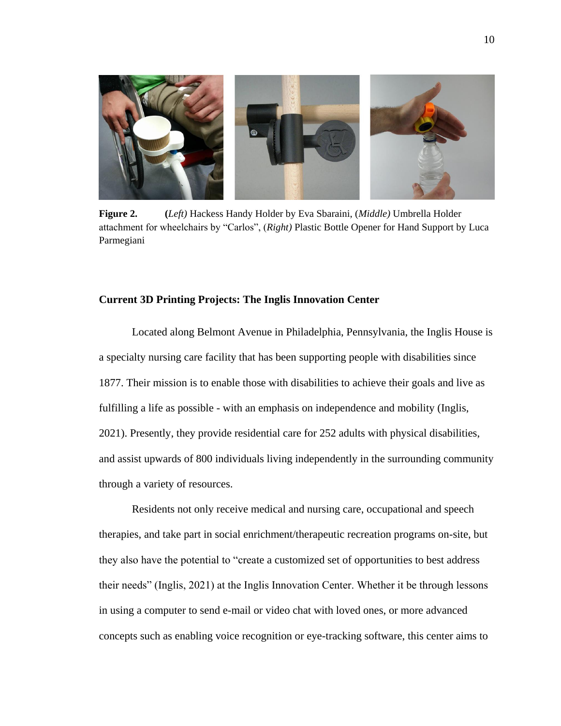

**Figure 2. (***Left)* Hackess Handy Holder by Eva Sbaraini, (*Middle)* Umbrella Holder attachment for wheelchairs by "Carlos", (*Right)* Plastic Bottle Opener for Hand Support by Luca Parmegiani

### **Current 3D Printing Projects: The Inglis Innovation Center**

Located along Belmont Avenue in Philadelphia, Pennsylvania, the Inglis House is a specialty nursing care facility that has been supporting people with disabilities since 1877. Their mission is to enable those with disabilities to achieve their goals and live as fulfilling a life as possible - with an emphasis on independence and mobility (Inglis, 2021). Presently, they provide residential care for 252 adults with physical disabilities, and assist upwards of 800 individuals living independently in the surrounding community through a variety of resources.

Residents not only receive medical and nursing care, occupational and speech therapies, and take part in social enrichment/therapeutic recreation programs on-site, but they also have the potential to "create a customized set of opportunities to best address their needs" (Inglis, 2021) at the Inglis Innovation Center. Whether it be through lessons in using a computer to send e-mail or video chat with loved ones, or more advanced concepts such as enabling voice recognition or eye-tracking software, this center aims to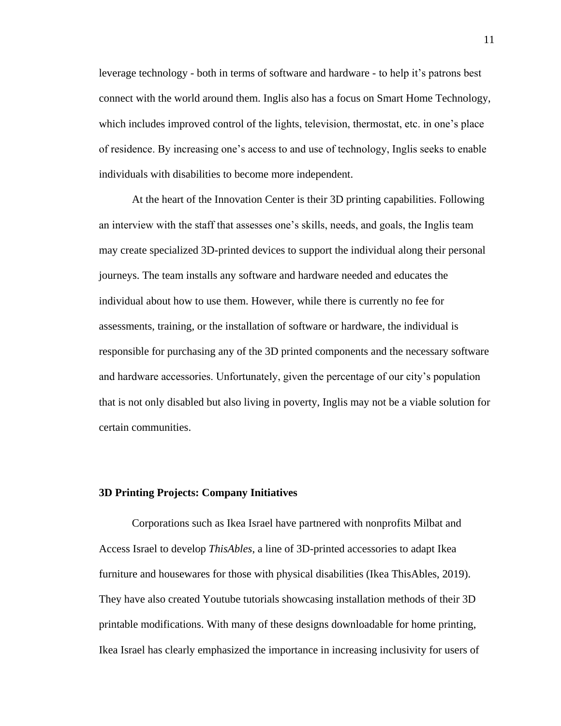leverage technology - both in terms of software and hardware - to help it's patrons best connect with the world around them. Inglis also has a focus on Smart Home Technology, which includes improved control of the lights, television, thermostat, etc. in one's place of residence. By increasing one's access to and use of technology, Inglis seeks to enable individuals with disabilities to become more independent.

At the heart of the Innovation Center is their 3D printing capabilities. Following an interview with the staff that assesses one's skills, needs, and goals, the Inglis team may create specialized 3D-printed devices to support the individual along their personal journeys. The team installs any software and hardware needed and educates the individual about how to use them. However, while there is currently no fee for assessments, training, or the installation of software or hardware, the individual is responsible for purchasing any of the 3D printed components and the necessary software and hardware accessories. Unfortunately, given the percentage of our city's population that is not only disabled but also living in poverty, Inglis may not be a viable solution for certain communities.

#### **3D Printing Projects: Company Initiatives**

Corporations such as Ikea Israel have partnered with nonprofits Milbat and Access Israel to develop *ThisAbles*, a line of 3D-printed accessories to adapt Ikea furniture and housewares for those with physical disabilities (Ikea ThisAbles, 2019). They have also created Youtube tutorials showcasing installation methods of their 3D printable modifications. With many of these designs downloadable for home printing, Ikea Israel has clearly emphasized the importance in increasing inclusivity for users of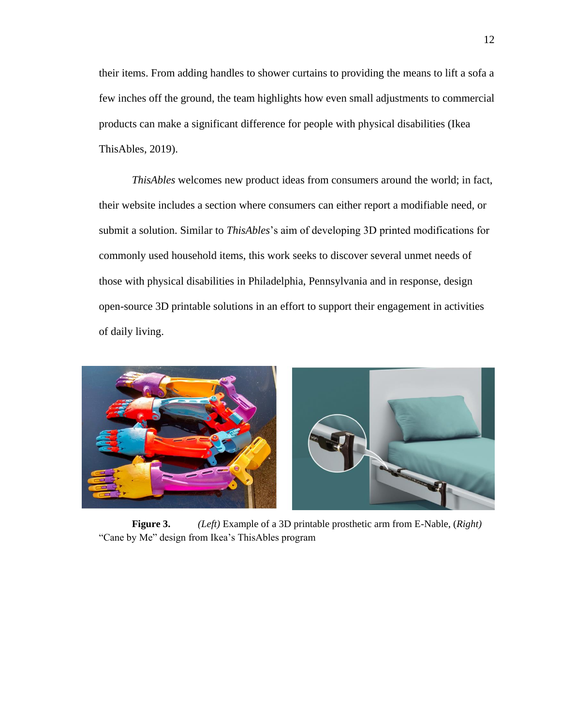their items. From adding handles to shower curtains to providing the means to lift a sofa a few inches off the ground, the team highlights how even small adjustments to commercial products can make a significant difference for people with physical disabilities (Ikea ThisAbles, 2019).

*ThisAbles* welcomes new product ideas from consumers around the world; in fact, their website includes a section where consumers can either report a modifiable need, or submit a solution. Similar to *ThisAbles*'s aim of developing 3D printed modifications for commonly used household items, this work seeks to discover several unmet needs of those with physical disabilities in Philadelphia, Pennsylvania and in response, design open-source 3D printable solutions in an effort to support their engagement in activities of daily living.



**Figure 3.** *(Left)* Example of a 3D printable prosthetic arm from E-Nable, (*Right)*  "Cane by Me" design from Ikea's ThisAbles program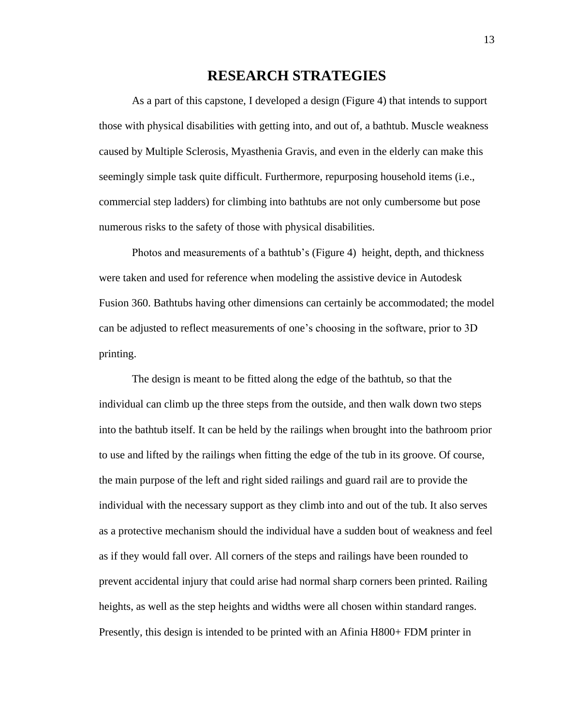# **RESEARCH STRATEGIES**

As a part of this capstone, I developed a design (Figure 4) that intends to support those with physical disabilities with getting into, and out of, a bathtub. Muscle weakness caused by Multiple Sclerosis, Myasthenia Gravis, and even in the elderly can make this seemingly simple task quite difficult. Furthermore, repurposing household items (i.e., commercial step ladders) for climbing into bathtubs are not only cumbersome but pose numerous risks to the safety of those with physical disabilities.

Photos and measurements of a bathtub's (Figure 4) height, depth, and thickness were taken and used for reference when modeling the assistive device in Autodesk Fusion 360. Bathtubs having other dimensions can certainly be accommodated; the model can be adjusted to reflect measurements of one's choosing in the software, prior to 3D printing.

The design is meant to be fitted along the edge of the bathtub, so that the individual can climb up the three steps from the outside, and then walk down two steps into the bathtub itself. It can be held by the railings when brought into the bathroom prior to use and lifted by the railings when fitting the edge of the tub in its groove. Of course, the main purpose of the left and right sided railings and guard rail are to provide the individual with the necessary support as they climb into and out of the tub. It also serves as a protective mechanism should the individual have a sudden bout of weakness and feel as if they would fall over. All corners of the steps and railings have been rounded to prevent accidental injury that could arise had normal sharp corners been printed. Railing heights, as well as the step heights and widths were all chosen within standard ranges. Presently, this design is intended to be printed with an Afinia H800+ FDM printer in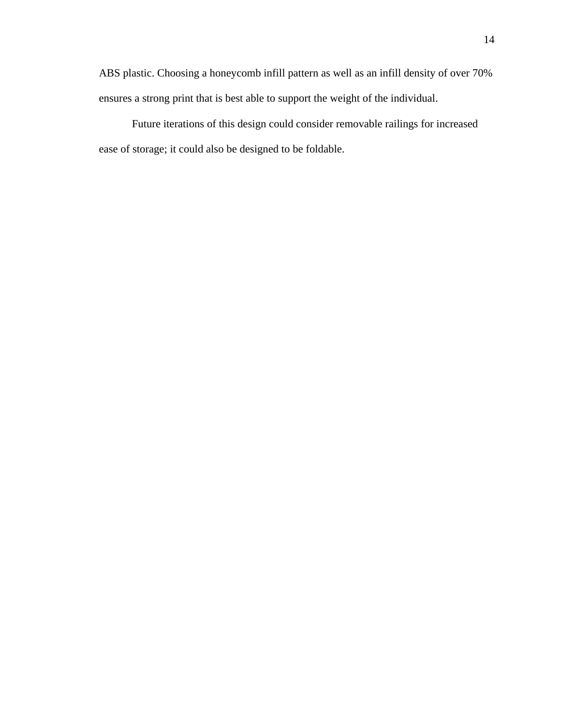ABS plastic. Choosing a honeycomb infill pattern as well as an infill density of over 70% ensures a strong print that is best able to support the weight of the individual.

Future iterations of this design could consider removable railings for increased ease of storage; it could also be designed to be foldable.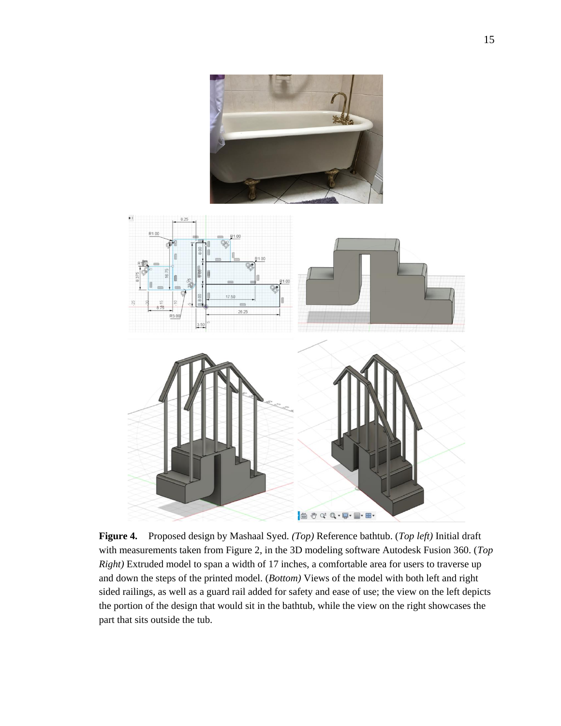

**Figure 4.** Proposed design by Mashaal Syed. *(Top)* Reference bathtub. (*Top left)* Initial draft with measurements taken from Figure 2, in the 3D modeling software Autodesk Fusion 360. (*Top Right)* Extruded model to span a width of 17 inches, a comfortable area for users to traverse up and down the steps of the printed model. (*Bottom)* Views of the model with both left and right sided railings, as well as a guard rail added for safety and ease of use; the view on the left depicts the portion of the design that would sit in the bathtub, while the view on the right showcases the part that sits outside the tub.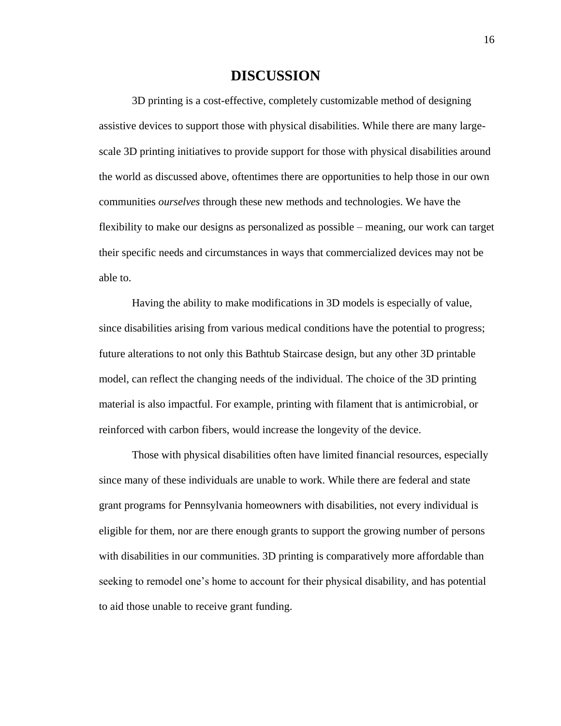### **DISCUSSION**

3D printing is a cost-effective, completely customizable method of designing assistive devices to support those with physical disabilities. While there are many largescale 3D printing initiatives to provide support for those with physical disabilities around the world as discussed above, oftentimes there are opportunities to help those in our own communities *ourselves* through these new methods and technologies. We have the flexibility to make our designs as personalized as possible – meaning, our work can target their specific needs and circumstances in ways that commercialized devices may not be able to.

Having the ability to make modifications in 3D models is especially of value, since disabilities arising from various medical conditions have the potential to progress; future alterations to not only this Bathtub Staircase design, but any other 3D printable model, can reflect the changing needs of the individual. The choice of the 3D printing material is also impactful. For example, printing with filament that is antimicrobial, or reinforced with carbon fibers, would increase the longevity of the device.

Those with physical disabilities often have limited financial resources, especially since many of these individuals are unable to work. While there are federal and state grant programs for Pennsylvania homeowners with disabilities, not every individual is eligible for them, nor are there enough grants to support the growing number of persons with disabilities in our communities. 3D printing is comparatively more affordable than seeking to remodel one's home to account for their physical disability, and has potential to aid those unable to receive grant funding.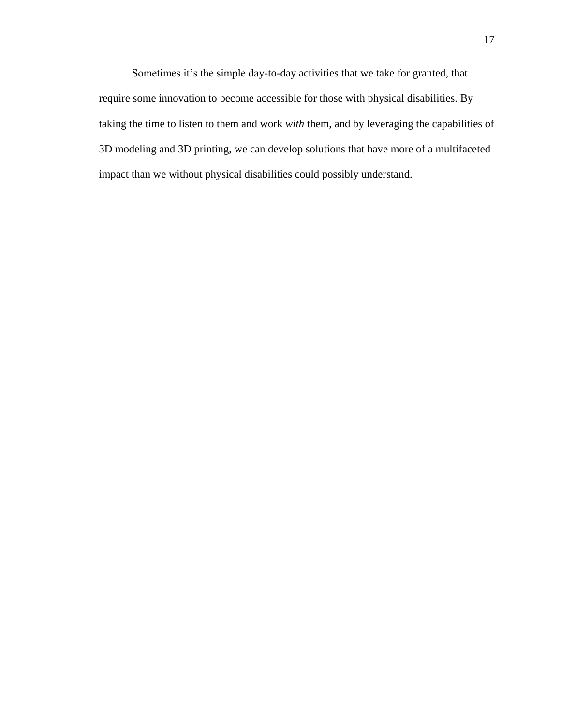Sometimes it's the simple day-to-day activities that we take for granted, that require some innovation to become accessible for those with physical disabilities. By taking the time to listen to them and work *with* them, and by leveraging the capabilities of 3D modeling and 3D printing, we can develop solutions that have more of a multifaceted impact than we without physical disabilities could possibly understand.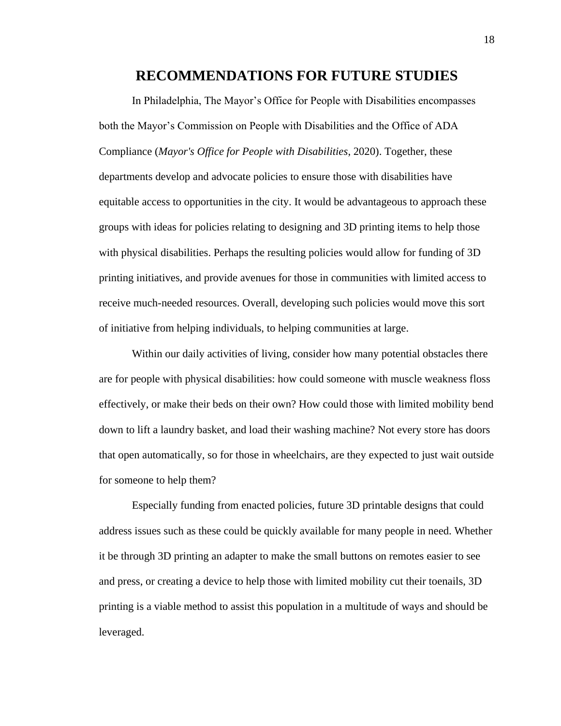### **RECOMMENDATIONS FOR FUTURE STUDIES**

In Philadelphia, The Mayor's Office for People with Disabilities encompasses both the Mayor's Commission on People with Disabilities and the Office of ADA Compliance (*Mayor's Office for People with Disabilities*, 2020). Together, these departments develop and advocate policies to ensure those with disabilities have equitable access to opportunities in the city. It would be advantageous to approach these groups with ideas for policies relating to designing and 3D printing items to help those with physical disabilities. Perhaps the resulting policies would allow for funding of 3D printing initiatives, and provide avenues for those in communities with limited access to receive much-needed resources. Overall, developing such policies would move this sort of initiative from helping individuals, to helping communities at large.

Within our daily activities of living, consider how many potential obstacles there are for people with physical disabilities: how could someone with muscle weakness floss effectively, or make their beds on their own? How could those with limited mobility bend down to lift a laundry basket, and load their washing machine? Not every store has doors that open automatically, so for those in wheelchairs, are they expected to just wait outside for someone to help them?

Especially funding from enacted policies, future 3D printable designs that could address issues such as these could be quickly available for many people in need. Whether it be through 3D printing an adapter to make the small buttons on remotes easier to see and press, or creating a device to help those with limited mobility cut their toenails, 3D printing is a viable method to assist this population in a multitude of ways and should be leveraged.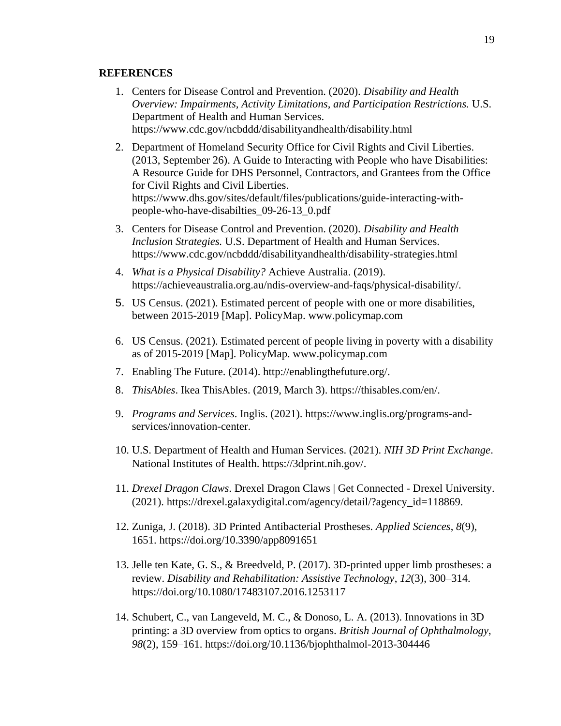### **REFERENCES**

- 1. Centers for Disease Control and Prevention. (2020). *Disability and Health Overview: Impairments, Activity Limitations, and Participation Restrictions.* U.S. Department of Health and Human Services. https://www.cdc.gov/ncbddd/disabilityandhealth/disability.html
- 2. Department of Homeland Security Office for Civil Rights and Civil Liberties. (2013, September 26). A Guide to Interacting with People who have Disabilities: A Resource Guide for DHS Personnel, Contractors, and Grantees from the Office for Civil Rights and Civil Liberties. https://www.dhs.gov/sites/default/files/publications/guide-interacting-withpeople-who-have-disabilties\_09-26-13\_0.pdf
- 3. Centers for Disease Control and Prevention. (2020). *Disability and Health Inclusion Strategies.* U.S. Department of Health and Human Services. https://www.cdc.gov/ncbddd/disabilityandhealth/disability-strategies.html
- 4. *What is a Physical Disability?* Achieve Australia. (2019). https://achieveaustralia.org.au/ndis-overview-and-faqs/physical-disability/.
- 5. US Census. (2021). Estimated percent of people with one or more disabilities, between 2015-2019 [Map]. PolicyMap. www.policymap.com
- 6. US Census. (2021). Estimated percent of people living in poverty with a disability as of 2015-2019 [Map]. PolicyMap. www.policymap.com
- 7. Enabling The Future. (2014). http://enablingthefuture.org/.
- 8. *ThisAbles*. Ikea ThisAbles. (2019, March 3). https://thisables.com/en/.
- 9. *Programs and Services*. Inglis. (2021). https://www.inglis.org/programs-andservices/innovation-center.
- 10. U.S. Department of Health and Human Services. (2021). *NIH 3D Print Exchange*. National Institutes of Health. https://3dprint.nih.gov/.
- 11. *Drexel Dragon Claws*. Drexel Dragon Claws | Get Connected Drexel University. (2021). https://drexel.galaxydigital.com/agency/detail/?agency\_id=118869.
- 12. Zuniga, J. (2018). 3D Printed Antibacterial Prostheses. *Applied Sciences*, *8*(9), 1651. https://doi.org/10.3390/app8091651
- 13. Jelle ten Kate, G. S., & Breedveld, P. (2017). 3D-printed upper limb prostheses: a review. *Disability and Rehabilitation: Assistive Technology*, *12*(3), 300–314. https://doi.org/10.1080/17483107.2016.1253117
- 14. Schubert, C., van Langeveld, M. C., & Donoso, L. A. (2013). Innovations in 3D printing: a 3D overview from optics to organs. *British Journal of Ophthalmology*, *98*(2), 159–161. https://doi.org/10.1136/bjophthalmol-2013-304446